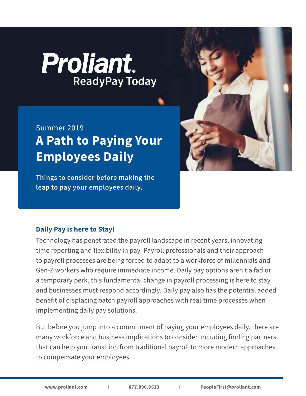# **Proliant ReadyPay Today**

# **A Path to Paying Your Employees Daily** Summer 2019

**Things to consider before making the leap to pay your employees daily.**



### **Daily Pay is here to Stay!**

Technology has penetrated the payroll landscape in recent years, innovating time reporting and flexibility in pay. Payroll professionals and their approach to payroll processes are being forced to adapt to a workforce of millennials and Gen-Z workers who require immediate income. Daily pay options aren't a fad or a temporary perk, this fundamental change in payroll processing is here to stay and businesses must respond accordingly. Daily pay also has the potential added benefit of displacing batch payroll approaches with real-time processes when implementing daily pay solutions.

But before you jump into a commitment of paying your employees daily, there are many workforce and business implications to consider including finding partners that can help you transition from traditional payroll to more modern approaches to compensate your employees.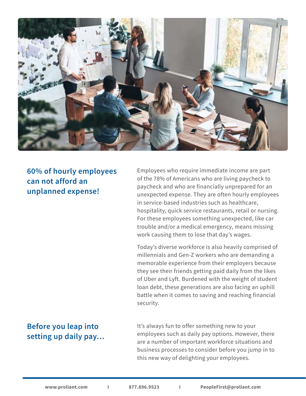

**60% of hourly employees can not afford an unplanned expense!**

Employees who require immediate income are part of the 78% of Americans who are living paycheck to paycheck and who are financially unprepared for an unexpected expense. They are often hourly employees in service-based industries such as healthcare, hospitality, quick service restaurants, retail or nursing. For these employees something unexpected, like car trouble and/or a medical emergency, means missing work causing them to lose that day's wages.

Today's diverse workforce is also heavily comprised of millennials and Gen-Z workers who are demanding a memorable experience from their employers because they see their friends getting paid daily from the likes of Uber and Lyft. Burdened with the weight of student loan debt, these generations are also facing an uphill battle when it comes to saving and reaching financial security.

# **Before you leap into setting up daily pay…**

It's always fun to offer something new to your employees such as daily pay options. However, there are a number of important workforce situations and business processes to consider before you jump in to this new way of delighting your employees.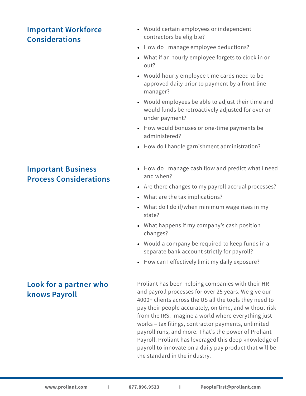# **Important Workforce Considerations**

#### • Would certain employees or independent contractors be eligible?

- How do I manage employee deductions?
- What if an hourly employee forgets to clock in or out?
- Would hourly employee time cards need to be approved daily prior to payment by a front-line manager?
- Would employees be able to adjust their time and would funds be retroactively adjusted for over or under payment?
- How would bonuses or one-time payments be administered?
- How do I handle garnishment administration?

#### • How do I manage cash flow and predict what I need and when?

- Are there changes to my payroll accrual processes?
- What are the tax implications?
- What do I do if/when minimum wage rises in my state?
- What happens if my company's cash position changes?
- Would a company be required to keep funds in a separate bank account strictly for payroll?
- How can I effectively limit my daily exposure?

Proliant has been helping companies with their HR and payroll processes for over 25 years. We give our 4000+ clients across the US all the tools they need to pay their people accurately, on time, and without risk from the IRS. Imagine a world where everything just works – tax filings, contractor payments, unlimited payroll runs, and more. That's the power of Proliant Payroll. Proliant has leveraged this deep knowledge of payroll to innovate on a daily pay product that will be the standard in the industry.

# **Important Business Process Considerations**

# **Look for a partner who knows Payroll**